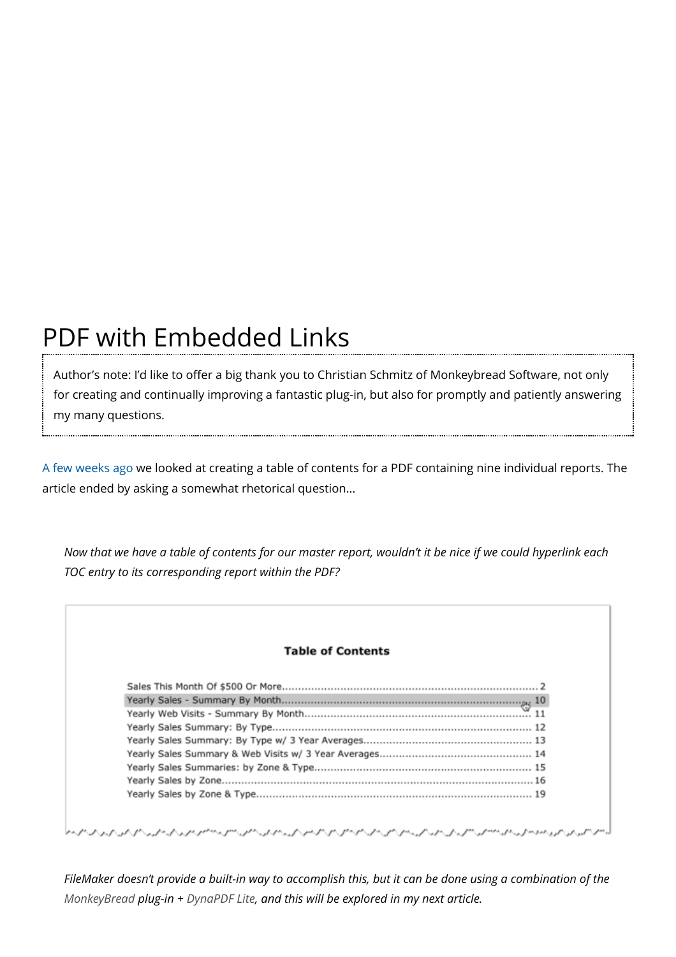## PDF with Embedded Links

Author's note: I'd like to offer a big thank you to Christian Schmitz of Monkeybread Software, not only for creating and continually improving a fantastic plug-in, but also for promptly and patiently answering my many questions.

[A few weeks ago](https://filemakerhacks.com/2017/01/31/virtual-list-table-of-contents-part-1/) we looked at creating a table of contents for a PDF containing nine individual reports. The article ended by asking a somewhat rhetorical question…

*Now that we have a table of contents for our master report, wouldn't it be nice if we could hyperlink each TOC entry to its corresponding report within the PDF?*

| <b>Table of Contents</b> |
|--------------------------|
|                          |
|                          |
|                          |
|                          |
|                          |
|                          |
|                          |
|                          |
|                          |

*FileMaker doesn't provide a built-in way to accomplish this, but it can be done using a combination of the [MonkeyBread](http://www.monkeybreadsoftware.de/filemaker/) plug-in + [DynaPDF Lite,](http://www.mbsplugins.eu/component_DynaPDF.shtml) and this will be explored in my next article.*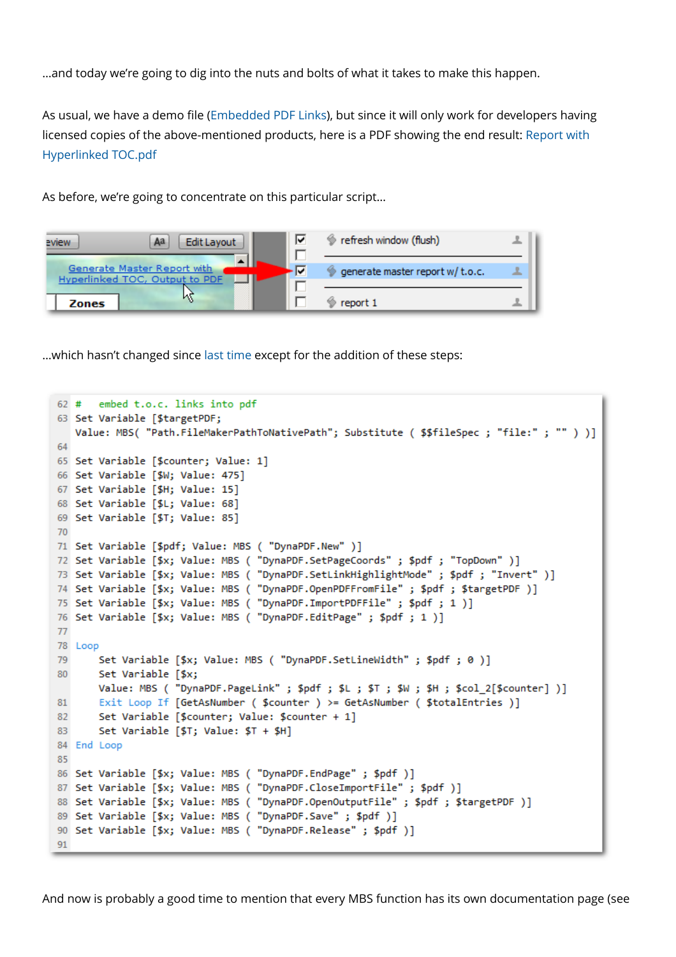…and today we're going to dig into the nuts and bolts of what it takes to make this happen.

As usual, we have a demo file [\(Embedded PDF Links](http://kevinfrank.com/fmh/Embedded-PDF-Links.zip)), but since it will only work for developers having [licensed copies of the above-mentioned products, here is a PDF showing the end result: Report with](http://kevinfrank.com/fmh/Report%20with%20Hyperlinked%20TOC.pdf) Hyperlinked TOC.pdf

As before, we're going to concentrate on this particular script…

| eview        | Aa<br>Edit Layout                                             | ⊽ | refresh window (flush)          |  |
|--------------|---------------------------------------------------------------|---|---------------------------------|--|
|              | Generate Master Report with<br>Hyperlinked TOC, Output to PDF |   | generate master report w/t.o.c. |  |
| <b>Zones</b> |                                                               |   | report 1                        |  |

…which hasn't changed since [last time](https://filemakerhacks.com/2017/01/31/virtual-list-table-of-contents-part-1/) except for the addition of these steps:

```
62 # embed t.o.c. links into pdf
63 Set Variable [$targetPDF:
  Value: MBS( "Path.FileMakerPathToNativePath"; Substitute ( $$fileSpec ; "file:" ; "" ) )]
64
65 Set Variable [$counter; Value: 1]
66 Set Variable [$W; Value: 475]
67 Set Variable [$H; Value: 15]
68 Set Variable [$L; Value: 68]
69 Set Variable [$T; Value: 85]
70
71 Set Variable [$pdf; Value: MBS ( "DynaPDF.New" )]
72 Set Variable [$x; Value: MBS ( "DynaPDF.SetPageCoords" ; $pdf ; "TopDown" )]
73 Set Variable [$x; Value: MBS ( "DynaPDF.SetLinkHighlightMode" ; $pdf ; "Invert" )]
74 Set Variable [$x; Value: MBS ( "DynaPDF.OpenPDFFromFile" ; $pdf ; $targetPDF )]
75 Set Variable [$x; Value: MBS ( "DynaPDF.ImportPDFFile" ; $pdf ; 1 )]
76 Set Variable [$x; Value: MBS ( "DynaPDF.EditPage" ; $pdf ; 1 )]
7778 Loop
79
       Set Variable [$x; Value: MBS ( "DynaPDF.SetLineWidth" ; $pdf ; 0 )]
       Set Variable [$x;
80
      Value: MBS ( "DynaPDF.PageLink" ; $pdf ; $L ; $T ; $W ; $H ; $col_2[$counter] )]
      Exit Loop If [GetAsNumber ( $counter ) >= GetAsNumber ( $totalEntries )]
81
82
      Set Variable [$counter; Value: $counter + 1]
       Set Variable [$T; Value: $T + $H]
83
84 End Loop
85
86 Set Variable [$x; Value: MBS ( "DynaPDF.EndPage" ; $pdf )]
87 Set Variable [$x; Value: MBS ( "DynaPDF.CloseImportFile" ; $pdf )]
88 Set Variable [$x; Value: MBS ( "DynaPDF.OpenOutputFile" ; $pdf ; $targetPDF )]
89 Set Variable [$x; Value: MBS ( "DynaPDF.Save" ; $pdf )]
90 Set Variable [$x; Value: MBS ( "DynaPDF.Release" ; $pdf )]
91
```
And now is probably a good time to mention that every MBS function has its own documentation page (see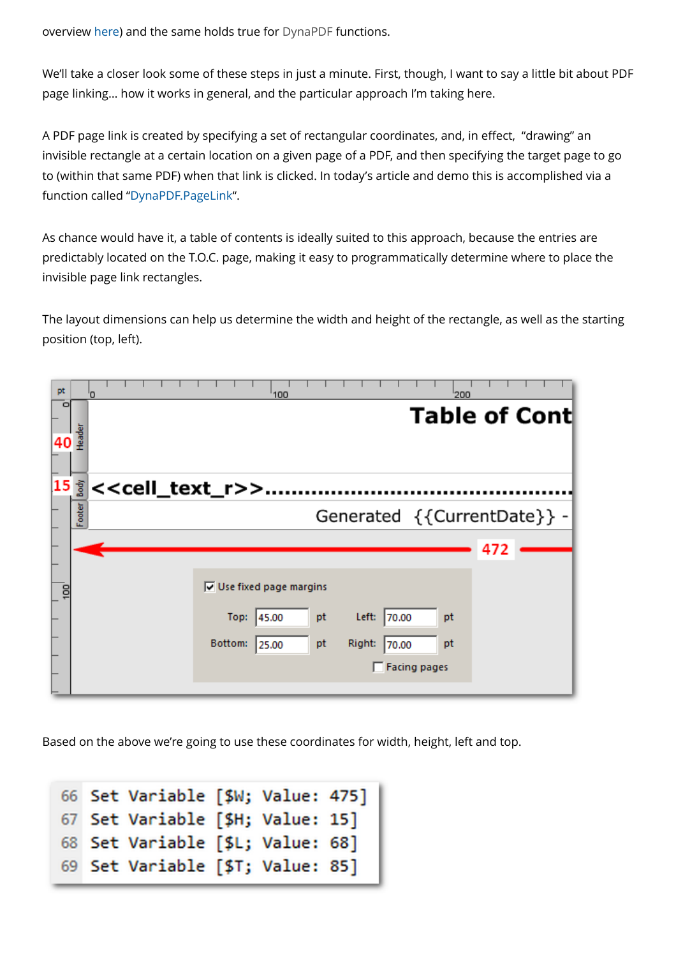overview [here](https://www.monkeybreadsoftware.de/filemaker/)) and the same holds true for [DynaPDF](http://www.mbsplugins.eu/component_DynaPDF.shtml) functions.

We'll take a closer look some of these steps in just a minute. First, though, I want to say a little bit about PDF page linking… how it works in general, and the particular approach I'm taking here.

A PDF page link is created by specifying a set of rectangular coordinates, and, in effect, "drawing" an invisible rectangle at a certain location on a given page of a PDF, and then specifying the target page to go to (within that same PDF) when that link is clicked. In today's article and demo this is accomplished via a function called "[DynaPDF.PageLink"](http://www.mbsplugins.eu/DynaPDFPageLink.shtml).

As chance would have it, a table of contents is ideally suited to this approach, because the entries are predictably located on the T.O.C. page, making it easy to programmatically determine where to place the invisible page link rectangles.

The layout dimensions can help us determine the width and height of the rectangle, as well as the starting position (top, left).

| pt              | n      | 100<br>200                                                                                                                                                        |
|-----------------|--------|-------------------------------------------------------------------------------------------------------------------------------------------------------------------|
| o<br>40         | Header | Table of Cont                                                                                                                                                     |
| $15\frac{5}{3}$ |        | < <cell_text_r>&gt;</cell_text_r>                                                                                                                                 |
|                 | Footer | Generated {{CurrentDate}} -                                                                                                                                       |
|                 |        | 472                                                                                                                                                               |
| 10D             |        | $\overline{\vee}$ Use fixed page margins<br>Left:<br>45.00<br>pt<br>Top:<br>70.00<br>pt<br>Bottom:<br>Right:<br>pt<br>pt<br>25.00<br>70.00<br><b>Facing pages</b> |

Based on the above we're going to use these coordinates for width, height, left and top.

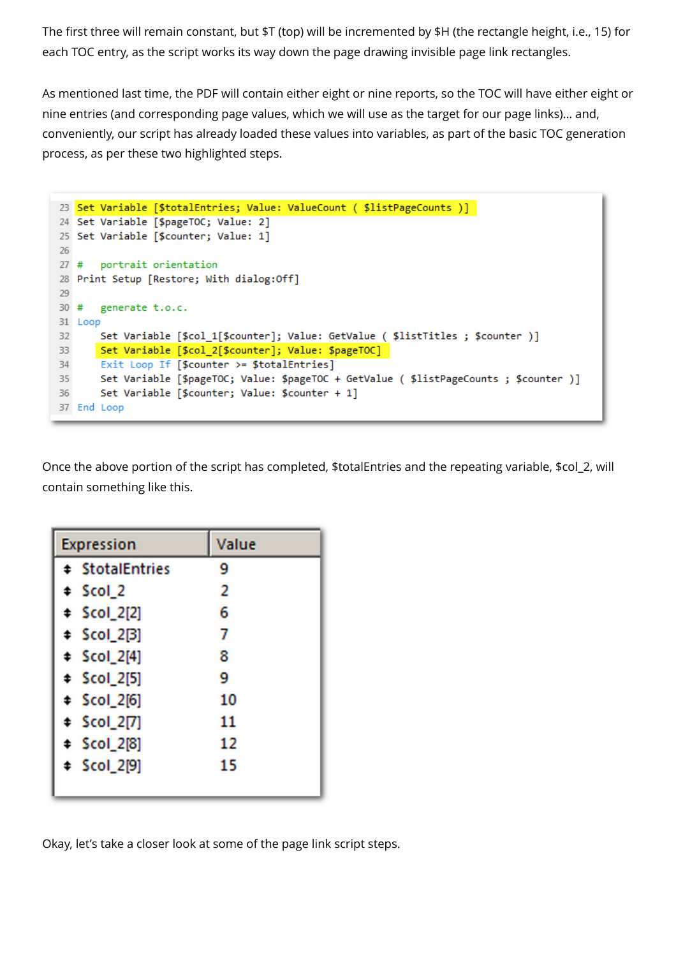The first three will remain constant, but \$T (top) will be incremented by \$H (the rectangle height, i.e., 15) for each TOC entry, as the script works its way down the page drawing invisible page link rectangles.

As mentioned last time, the PDF will contain either eight or nine reports, so the TOC will have either eight or nine entries (and corresponding page values, which we will use as the target for our page links)… and, conveniently, our script has already loaded these values into variables, as part of the basic TOC generation process, as per these two highlighted steps.

```
23 Set Variable [$totalEntries; Value: ValueCount ( $listPageCounts )]
24 Set Variable [$pageTOC; Value: 2]
25 Set Variable [$counter; Value: 1]
-26
27 # portrait orientation
28 Print Setup [Restore; With dialog:Off]
29
      generate t.o.c.
30#31 Loop
       Set Variable [$col_1[$counter]; Value: GetValue ( $listTitles ; $counter )]
32
      Set Variable [$col_2[$counter]; Value: $pageTOC]
33
      Exit Loop If [$counter >= $totalEntries]
34
35
       Set Variable [$pageTOC; Value: $pageTOC + GetValue ( $listPageCounts ; $counter )]
       Set Variable [$counter; Value: $counter + 1]
36
37 End Loop
```
Once the above portion of the script has completed, \$totalEntries and the repeating variable, \$col\_2, will contain something like this.

| <b>Expression</b>      | Value |
|------------------------|-------|
| <b># StotalEntries</b> | 9     |
| ‡ Scol_2               | 2     |
| $\div$ Scol_2[2]       | 6     |
| \$col 2[3]             | 7     |
| $\div$ Scol 2[4]       | 8     |
| $$col_2[5]$            | 9     |
| $$col_2[6]$            | 10    |
| $$col_2[7]$            | 11    |
| $$col_2[8]$            | 12    |
| $$col_2[9]$            | 15    |
|                        |       |

Okay, let's take a closer look at some of the page link script steps.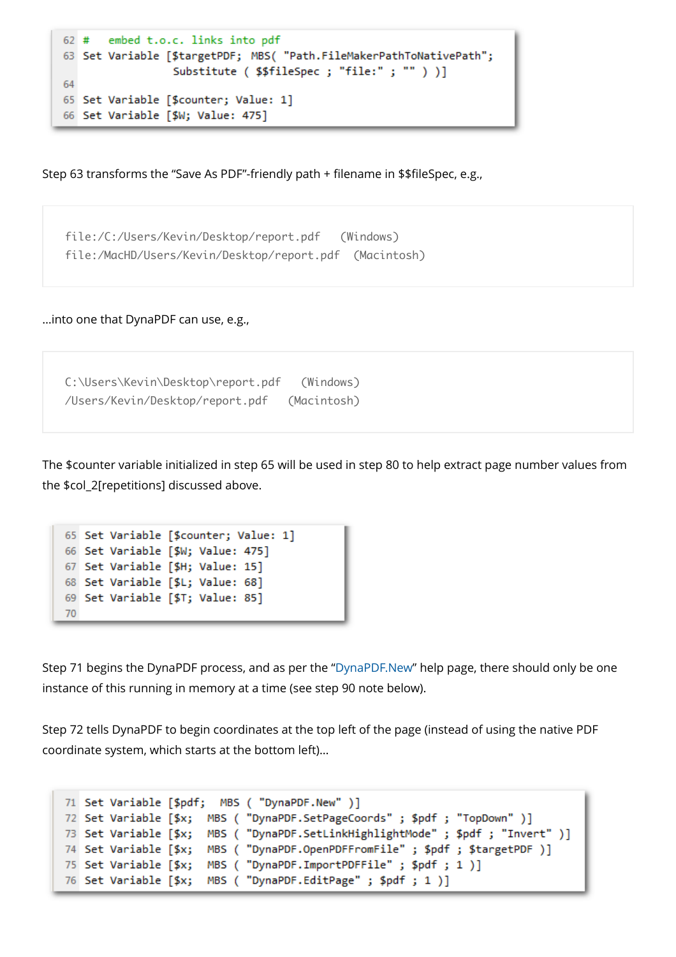```
62 # embed t.o.c. links into pdf
63 Set Variable [$targetPDF; MBS( "Path.FileMakerPathToNativePath";
                 Substitute ( $$fileSpec ; "file:" ; "" ) )]
64
65 Set Variable [$counter; Value: 1]
66 Set Variable [$W; Value: 475]
```
Step 63 transforms the "Save As PDF"-friendly path + filename in \$\$fileSpec, e.g.,

file:/C:/Users/Kevin/Desktop/report.pdf (Windows) file:/MacHD/Users/Kevin/Desktop/report.pdf (Macintosh)

…into one that DynaPDF can use, e.g.,

C:\Users\Kevin\Desktop\report.pdf (Windows) /Users/Kevin/Desktop/report.pdf (Macintosh)

The \$counter variable initialized in step 65 will be used in step 80 to help extract page number values from the \$col\_2[repetitions] discussed above.

```
65 Set Variable [$counter; Value: 1]
66 Set Variable [$W; Value: 475]
67 Set Variable [$H; Value: 15]
68 Set Variable [$L; Value: 68]
69 Set Variable [$T; Value: 85]
70
```
Step 71 begins the DynaPDF process, and as per the ["DynaPDF.New](https://www.mbsplugins.eu/DynaPDFNew.shtml)" help page, there should only be one instance of this running in memory at a time (see step 90 note below).

Step 72 tells DynaPDF to begin coordinates at the top left of the page (instead of using the native PDF coordinate system, which starts at the bottom left)…

```
71 Set Variable [$pdf; MBS ( "DynaPDF.New" )]
72 Set Variable [$x; MBS ( "DynaPDF.SetPageCoords" ; $pdf ; "TopDown" )]
73 Set Variable [$x; MBS ( "DynaPDF.SetLinkHighlightMode" ; $pdf ; "Invert" )]
74 Set Variable [$x; MBS ( "DynaPDF.OpenPDFFromFile" ; $pdf ; $targetPDF )]
75 Set Variable [$x; MBS ( "DynaPDF.ImportPDFFile" ; $pdf ; 1 )]
76 Set Variable [$x; MBS ( "DynaPDF.EditPage" ; $pdf ; 1 )]
```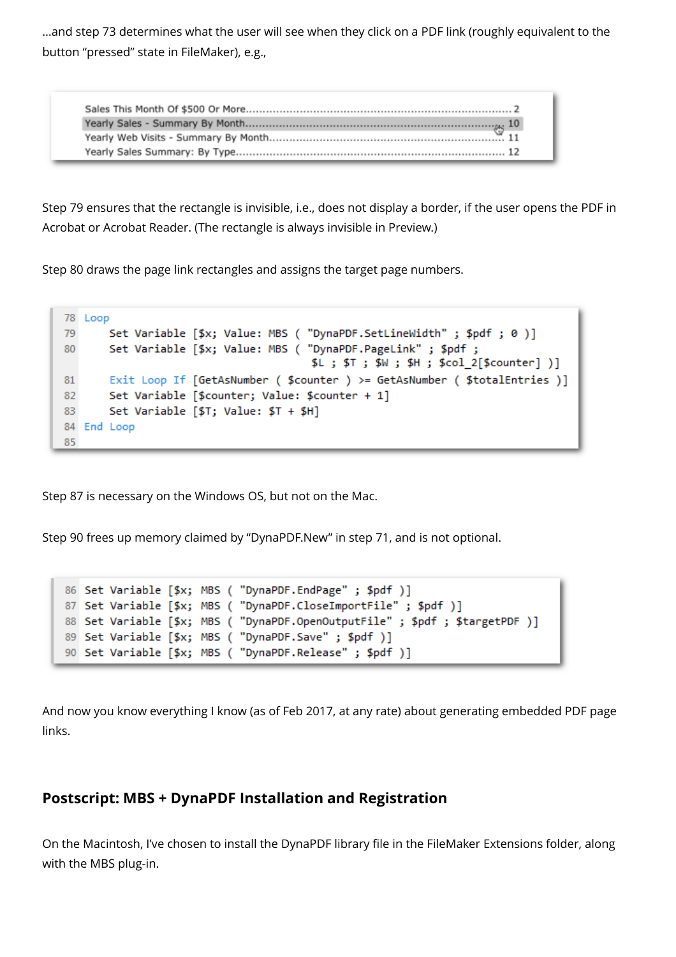…and step 73 determines what the user will see when they click on a PDF link (roughly equivalent to the button "pressed" state in FileMaker), e.g.,

Step 79 ensures that the rectangle is invisible, i.e., does not display a border, if the user opens the PDF in Acrobat or Acrobat Reader. (The rectangle is always invisible in Preview.)

Step 80 draws the page link rectangles and assigns the target page numbers.

|    | 78 Loop                                                                    |
|----|----------------------------------------------------------------------------|
| 79 | Set Variable [\$x; Value: MBS ( "DynaPDF.SetLineWidth" ; \$pdf ; 0 )]      |
| 80 | Set Variable [\$x; Value: MBS ( "DynaPDF.PageLink" ; \$pdf ;               |
|    | \$L ; \$T ; \$W ; \$H ; \$col 2[\$counter] )]                              |
| 81 | Exit Loop If [GetAsNumber ( \$counter ) >= GetAsNumber ( \$totalEntries )] |
| 82 | Set Variable [\$counter; Value: \$counter + 1]                             |
| 83 | Set Variable [\$T; Value: $$T + $H]$                                       |
|    | 84 End Loop                                                                |
| 85 |                                                                            |

Step 87 is necessary on the Windows OS, but not on the Mac.

Step 90 frees up memory claimed by "DynaPDF.New" in step 71, and is not optional.

```
86 Set Variable [$x; MBS ( "DynaPDF.EndPage" ; $pdf )]
87 Set Variable [$x; MBS ( "DynaPDF.CloseImportFile" ; $pdf )]
88 Set Variable [$x; MBS ( "DynaPDF.OpenOutputFile" ; $pdf ; $targetPDF )]
89 Set Variable [$x; MBS ( "DynaPDF.Save" ; $pdf )]
90 Set Variable [$x; MBS ( "DynaPDF.Release" ; $pdf )]
```
And now you know everything I know (as of Feb 2017, at any rate) about generating embedded PDF page links.

## **Postscript: MBS + DynaPDF Installation and Registration**

On the Macintosh, I've chosen to install the DynaPDF library file in the FileMaker Extensions folder, along with the MBS plug-in.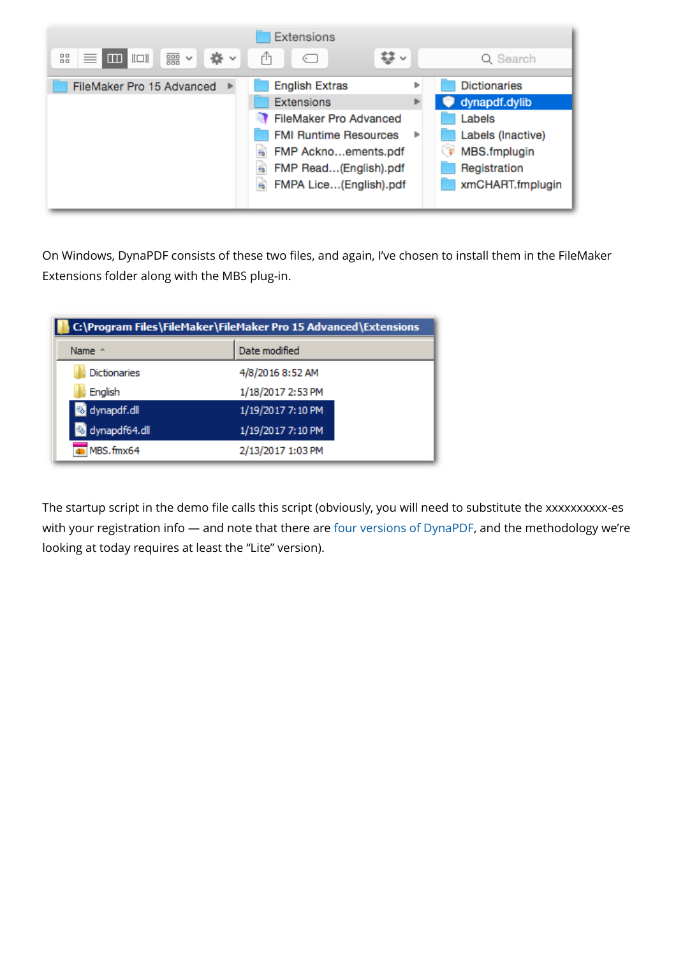

On Windows, DynaPDF consists of these two files, and again, I've chosen to install them in the FileMaker Extensions folder along with the MBS plug-in.

| C:\Program Files\FileMaker\FileMaker Pro 15 Advanced\Extensions |                   |  |  |  |
|-----------------------------------------------------------------|-------------------|--|--|--|
| Name $\triangle$                                                | Date modified     |  |  |  |
| <b>Dictionaries</b>                                             | 4/8/2016 8:52 AM  |  |  |  |
| English                                                         | 1/18/2017 2:53 PM |  |  |  |
| dynapdf.dll                                                     | 1/19/2017 7:10 PM |  |  |  |
| dynapdf64.dll                                                   | 1/19/2017 7:10 PM |  |  |  |
| MBS.fmx64                                                       | 2/13/2017 1:03 PM |  |  |  |

The startup script in the demo file calls this script (obviously, you will need to substitute the xxxxxxxxxx-es with your registration info - and note that there are [four versions of DynaPDF](https://www.monkeybreadsoftware.de/filemaker/dynapdf-editions.shtml), and the methodology we're looking at today requires at least the "Lite" version).